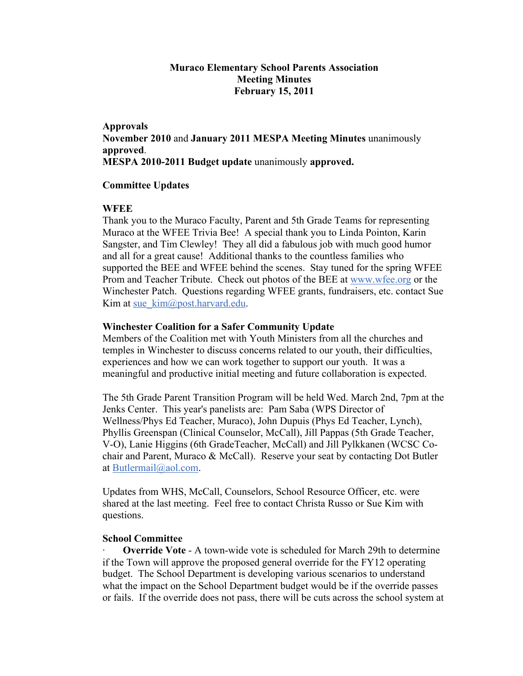# **Muraco Elementary School Parents Association Meeting Minutes February 15, 2011**

## **Approvals**

**November 2010** and **January 2011 MESPA Meeting Minutes** unanimously **approved**. **MESPA 2010-2011 Budget update** unanimously **approved.**

## **Committee Updates**

## **WFEE**

Thank you to the Muraco Faculty, Parent and 5th Grade Teams for representing Muraco at the WFEE Trivia Bee! A special thank you to Linda Pointon, Karin Sangster, and Tim Clewley! They all did a fabulous job with much good humor and all for a great cause! Additional thanks to the countless families who supported the BEE and WFEE behind the scenes. Stay tuned for the spring WFEE Prom and Teacher Tribute. Check out photos of the BEE at www.wfee.org or the Winchester Patch. Questions regarding WFEE grants, fundraisers, etc. contact Sue Kim at sue\_kim@post.harvard.edu.

## **Winchester Coalition for a Safer Community Update**

Members of the Coalition met with Youth Ministers from all the churches and temples in Winchester to discuss concerns related to our youth, their difficulties, experiences and how we can work together to support our youth. It was a meaningful and productive initial meeting and future collaboration is expected.

The 5th Grade Parent Transition Program will be held Wed. March 2nd, 7pm at the Jenks Center. This year's panelists are: Pam Saba (WPS Director of Wellness/Phys Ed Teacher, Muraco), John Dupuis (Phys Ed Teacher, Lynch), Phyllis Greenspan (Clinical Counselor, McCall), Jill Pappas (5th Grade Teacher, V-O), Lanie Higgins (6th GradeTeacher, McCall) and Jill Pylkkanen (WCSC Cochair and Parent, Muraco & McCall). Reserve your seat by contacting Dot Butler at Butlermail@aol.com.

Updates from WHS, McCall, Counselors, School Resource Officer, etc. were shared at the last meeting. Feel free to contact Christa Russo or Sue Kim with questions.

### **School Committee**

**Override Vote** - A town-wide vote is scheduled for March 29th to determine if the Town will approve the proposed general override for the FY12 operating budget. The School Department is developing various scenarios to understand what the impact on the School Department budget would be if the override passes or fails. If the override does not pass, there will be cuts across the school system at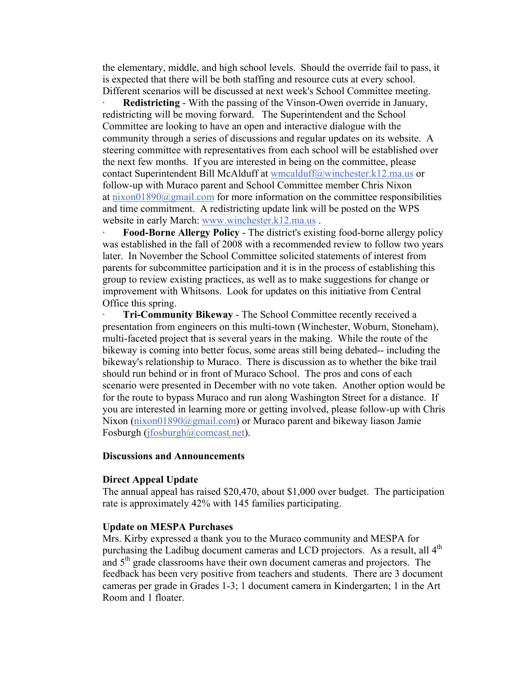the elementary, middle, and high school levels. Should the override fail to pass, it is expected that there will be both staffing and resource cuts at every school. Different scenarios will be discussed at next week's School Committee meeting.

**Redistricting** - With the passing of the Vinson-Owen override in January, redistricting will be moving forward. The Superintendent and the School Committee are looking to have an open and interactive dialogue with the community through a series of discussions and regular updates on its website. A steering committee with representatives from each school will be established over the next few months. If you are interested in being on the committee, please contact Superintendent Bill McAlduff at wmcalduff@winchester.k12.ma.us or follow-up with Muraco parent and School Committee member Chris Nixon at  $\frac{\text{nixon01890}(a)$ gmail.com for more information on the committee responsibilities and time commitment. A redistricting update link will be posted on the WPS website in early March: www.winchester.k12.ma.us .

· **Food-Borne Allergy Policy** - The district's existing food-borne allergy policy was established in the fall of 2008 with a recommended review to follow two years later. In November the School Committee solicited statements of interest from parents for subcommittee participation and it is in the process of establishing this group to review existing practices, as well as to make suggestions for change or improvement with Whitsons. Look for updates on this initiative from Central Office this spring.

· **Tri-Community Bikeway** - The School Committee recently received a presentation from engineers on this multi-town (Winchester, Woburn, Stoneham), multi-faceted project that is several years in the making. While the route of the bikeway is coming into better focus, some areas still being debated-- including the bikeway's relationship to Muraco. There is discussion as to whether the bike trail should run behind or in front of Muraco School. The pros and cons of each scenario were presented in December with no vote taken. Another option would be for the route to bypass Muraco and run along Washington Street for a distance. If you are interested in learning more or getting involved, please follow-up with Chris Nixon (nixon01890@gmail.com) or Muraco parent and bikeway liason Jamie Fosburgh (jfosburgh@comcast.net).

### **Discussions and Announcements**

#### **Direct Appeal Update**

The annual appeal has raised \$20,470, about \$1,000 over budget. The participation rate is approximately 42% with 145 families participating.

### **Update on MESPA Purchases**

Mrs. Kirby expressed a thank you to the Muraco community and MESPA for purchasing the Ladibug document cameras and LCD projectors. As a result, all 4<sup>th</sup> and  $5<sup>th</sup>$  grade classrooms have their own document cameras and projectors. The feedback has been very positive from teachers and students. There are 3 document cameras per grade in Grades 1-3; 1 document camera in Kindergarten; 1 in the Art Room and 1 floater.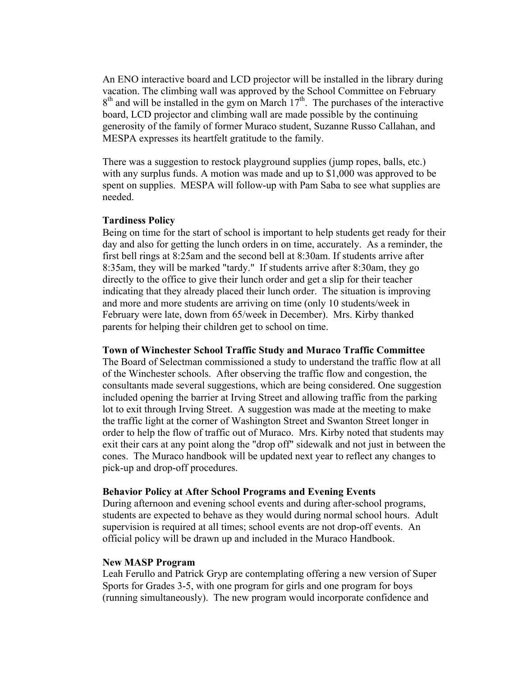An ENO interactive board and LCD projector will be installed in the library during vacation. The climbing wall was approved by the School Committee on February  $8<sup>th</sup>$  and will be installed in the gym on March  $17<sup>th</sup>$ . The purchases of the interactive board, LCD projector and climbing wall are made possible by the continuing generosity of the family of former Muraco student, Suzanne Russo Callahan, and MESPA expresses its heartfelt gratitude to the family.

There was a suggestion to restock playground supplies (jump ropes, balls, etc.) with any surplus funds. A motion was made and up to \$1,000 was approved to be spent on supplies. MESPA will follow-up with Pam Saba to see what supplies are needed.

### **Tardiness Policy**

Being on time for the start of school is important to help students get ready for their day and also for getting the lunch orders in on time, accurately. As a reminder, the first bell rings at 8:25am and the second bell at 8:30am. If students arrive after 8:35am, they will be marked "tardy." If students arrive after 8:30am, they go directly to the office to give their lunch order and get a slip for their teacher indicating that they already placed their lunch order. The situation is improving and more and more students are arriving on time (only 10 students/week in February were late, down from 65/week in December). Mrs. Kirby thanked parents for helping their children get to school on time.

#### **Town of Winchester School Traffic Study and Muraco Traffic Committee**

The Board of Selectman commissioned a study to understand the traffic flow at all of the Winchester schools. After observing the traffic flow and congestion, the consultants made several suggestions, which are being considered. One suggestion included opening the barrier at Irving Street and allowing traffic from the parking lot to exit through Irving Street. A suggestion was made at the meeting to make the traffic light at the corner of Washington Street and Swanton Street longer in order to help the flow of traffic out of Muraco. Mrs. Kirby noted that students may exit their cars at any point along the "drop off" sidewalk and not just in between the cones. The Muraco handbook will be updated next year to reflect any changes to pick-up and drop-off procedures.

#### **Behavior Policy at After School Programs and Evening Events**

During afternoon and evening school events and during after-school programs, students are expected to behave as they would during normal school hours. Adult supervision is required at all times; school events are not drop-off events. An official policy will be drawn up and included in the Muraco Handbook.

### **New MASP Program**

Leah Ferullo and Patrick Gryp are contemplating offering a new version of Super Sports for Grades 3-5, with one program for girls and one program for boys (running simultaneously). The new program would incorporate confidence and